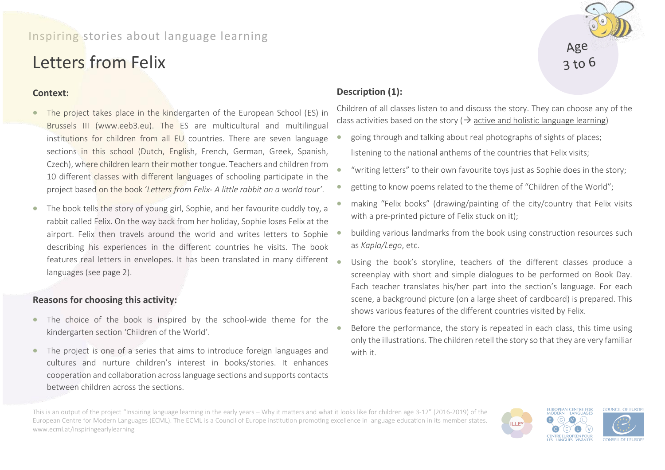## Inspiring stories about language learning

# Letters from Felix

### **Context:**

- The project takes place in the kindergarten of the European School (ES) in Brussels III (www.eeb3.eu). The ES are multicultural and multilingual institutions for children from all EU countries. There are seven language sections in this school (Dutch, English, French, German, Greek, Spanish, Czech), where children learn their mother tongue. Teachers and children from 10 different classes with different languages of schooling participate in the project based on the book '*Letters from Felix- A little rabbit on a world tour'*.
- The book tells the story of young girl, Sophie, and her favourite cuddly toy, a rabbit called Felix. On the way back from her holiday, Sophie loses Felix at the airport. Felix then travels around the world and writes letters to Sophie describing his experiences in the different countries he visits. The book features real letters in envelopes. It has been translated in many different languages (see page 2).

#### **Reasons for choosing this activity:**

- The choice of the book is inspired by the school-wide theme for the kindergarten section 'Children of the World'.
- The project is one of a series that aims to introduce foreign languages and cultures and nurture children's interest in books/stories. It enhances cooperation and collaboration across language sections and supports contacts between children across the sections.

## **Description (1):**

Children of all classes listen to and discuss the story. They can choose any of the class activities based on the story ( $\rightarrow$  active and holistic language learning)

- going through and talking about real photographs of sights of places; listening to the national anthems of the countries that Felix visits;
- "writing letters" to their own favourite toys just as Sophie does in the story;
- getting to know poems related to the theme of "Children of the World";
- making "Felix books" (drawing/painting of the city/country that Felix visits with a pre-printed picture of Felix stuck on it);
- building various landmarks from the book using construction resources such as *Kapla/Lego*, etc.
- Using the book's storyline, teachers of the different classes produce a screenplay with short and simple dialogues to be performed on Book Day. Each teacher translates his/her part into the section's language. For each scene, a background picture (on a large sheet of cardboard) is prepared. This shows various features of the different countries visited by Felix.
- Before the performance, the story is repeated in each class, this time using only the illustrations. The children retell the story so that they are very familiar with it.

This is an output of the project "Inspiring language learning in the early years – Why it matters and what it looks like for children age 3-12" (2016-2019) of the European Centre for Modern Languages (ECML). The ECML is a Council of Europe institution promoting excellence in language education in its member states. [www.ecml.at/inspiringearlylearning](http://www.ecml.at/inspiringearlylearning)



Age  $3$  to 6